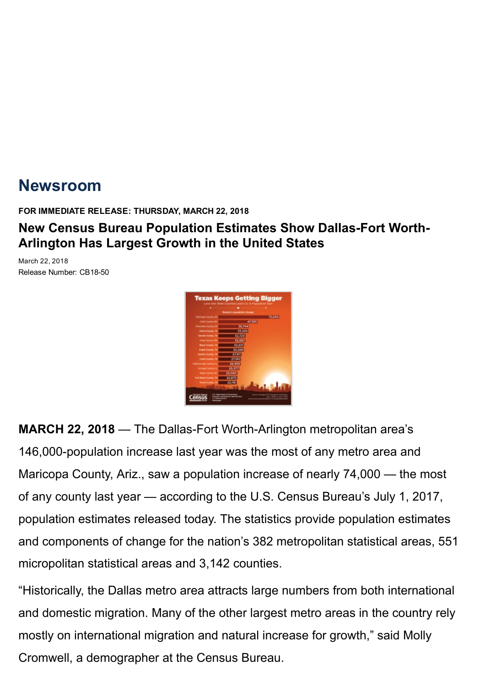# [Newsroom](https://www.census.gov/newsroom.html)

FOR IMMEDIATE RELEASE: THURSDAY, MARCH 22, 2018

## New Census Bureau Population Estimates Show Dallas-Fort Worth-Arlington Has Largest Growth in the United States

March 22, 2018 Release Number: CB18-50



MARCH 22, 2018 — The Dallas-Fort Worth-Arlington metropolitan area's 146,000-population increase last year was the most of any metro area and Maricopa County, Ariz., saw a population increase of nearly 74,000 — the most of any county last year — according to the U.S. Census Bureau's July 1, 2017, population estimates released today. The statistics provide population estimates and components of change for the nation's 382 [metropolitan](https://www.census.gov/programs-surveys/metro-micro.html) statistical areas, 551 [micropolitan](https://www.census.gov/programs-surveys/metro-micro.html) statistical areas and 3,142 counties.

"Historically, the Dallas metro area attracts large numbers from both international and domestic migration. Many of the other largest metro areas in the country rely mostly on international migration and natural increase for growth," said Molly Cromwell, a demographer at the Census Bureau.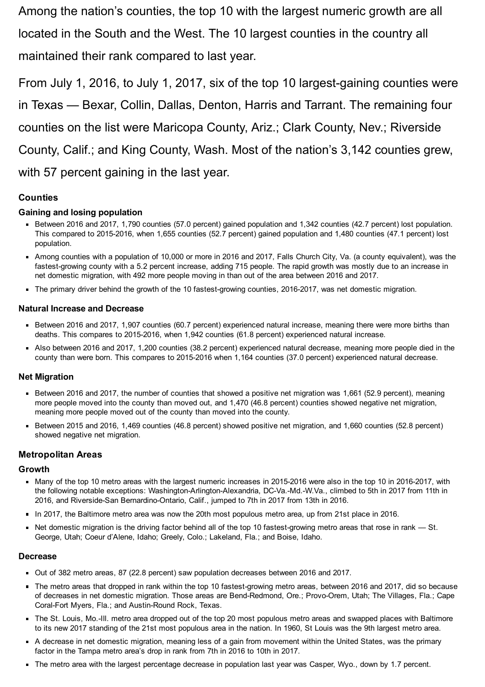Among the nation's counties, the top 10 with the largest numeric growth are all located in the South and the West. The 10 largest counties in the country all maintained their rank compared to last year.

From July 1, 2016, to July 1, 2017, six of the top 10 largest-gaining counties were in Texas — Bexar, Collin, Dallas, Denton, Harris and Tarrant. The remaining four counties on the list were Maricopa County, Ariz.; Clark County, Nev.; Riverside County, Calif.; and King County, Wash. Most of the nation's 3,142 counties grew, with 57 percent gaining in the last year.

## **Counties**

#### Gaining and losing population

- Between 2016 and 2017, 1,790 counties (57.0 percent) gained population and 1,342 counties (42.7 percent) lost population. This compared to 20152016, when 1,655 counties (52.7 percent) gained population and 1,480 counties (47.1 percent) lost population.
- Among counties with a population of 10,000 or more in 2016 and 2017, Falls Church City, Va. (a county equivalent), was the fastest-growing county with a 5.2 percent increase, adding 715 people. The rapid growth was mostly due to an increase in net domestic migration, with 492 more people moving in than out of the area between 2016 and 2017.
- The primary driver behind the growth of the 10 fastest-growing counties, 2016-2017, was net domestic migration.

#### Natural Increase and Decrease

- Between 2016 and 2017, 1,907 counties (60.7 percent) experienced natural increase, meaning there were more births than deaths. This compares to 2015-2016, when 1,942 counties (61.8 percent) experienced natural increase.
- Also between 2016 and 2017, 1,200 counties (38.2 percent) experienced natural decrease, meaning more people died in the county than were born. This compares to 2015-2016 when 1,164 counties (37.0 percent) experienced natural decrease.

#### Net Migration

- Between 2016 and 2017, the number of counties that showed a positive net migration was 1,661 (52.9 percent), meaning more people moved into the county than moved out, and 1,470 (46.8 percent) counties showed negative net migration, meaning more people moved out of the county than moved into the county.
- Between 2015 and 2016, 1,469 counties (46.8 percent) showed positive net migration, and 1,660 counties (52.8 percent) showed negative net migration.

#### Metropolitan Areas

#### Growth

- Many of the top 10 metro areas with the largest numeric increases in 2015-2016 were also in the top 10 in 2016-2017, with the following notable exceptions: Washington-Arlington-Alexandria, DC-Va.-Md.-W.Va., climbed to 5th in 2017 from 11th in 2016, and Riverside-San Bernardino-Ontario, Calif., jumped to 7th in 2017 from 13th in 2016.
- In 2017, the Baltimore metro area was now the 20th most populous metro area, up from 21st place in 2016.
- Net domestic migration is the driving factor behind all of the top 10 fastest-growing metro areas that rose in rank St.  $\blacksquare$ George, Utah; Coeur d'Alene, Idaho; Greely, Colo.; Lakeland, Fla.; and Boise, Idaho.

#### Decrease

- Out of 382 metro areas, 87 (22.8 percent) saw population decreases between 2016 and 2017.
- The metro areas that dropped in rank within the top 10 fastest-growing metro areas, between 2016 and 2017, did so because of decreases in net domestic migration. Those areas are Bend-Redmond, Ore.; Provo-Orem, Utah; The Villages, Fla.; Cape Coral-Fort Myers, Fla.; and Austin-Round Rock, Texas.
- The St. Louis, Mo.Ill. metro area dropped out of the top 20 most populous metro areas and swapped places with Baltimore to its new 2017 standing of the 21st most populous area in the nation. In 1960, St Louis was the 9th largest metro area.
- A decrease in net domestic migration, meaning less of a gain from movement within the United States, was the primary factor in the Tampa metro area's drop in rank from 7th in 2016 to 10th in 2017.
- The metro area with the largest percentage decrease in population last year was Casper, Wyo., down by 1.7 percent.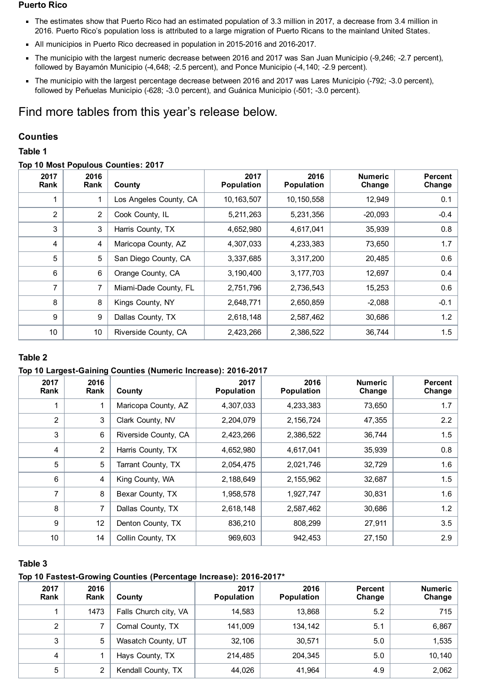#### Puerto Rico

- The estimates show that Puerto Rico had an estimated population of 3.3 million in 2017, a decrease from 3.4 million in 2016. Puerto Rico's population loss is attributed to a large migration of Puerto Ricans to the mainland United States.
- All municipios in Puerto Rico decreased in population in 2015-2016 and 2016-2017.
- The municipio with the largest numeric decrease between 2016 and 2017 was San Juan Municipio (-9,246; -2.7 percent),  $\blacksquare$ followed by Bayamón Municipio (-4,648; -2.5 percent), and Ponce Municipio (-4,140; -2.9 percent).
- The municipio with the largest percentage decrease between 2016 and 2017 was Lares Municipio (-792; -3.0 percent),  $\blacksquare$ followed by Peñuelas Municipio (-628; -3.0 percent), and Guánica Municipio (-501; -3.0 percent).

## Find more tables from this year's release below.

#### **Counties**

#### Table 1

#### Top 10 Most Populous Counties: 2017

| 2017<br>Rank   | 2016<br>Rank   | County                 | 2017<br><b>Population</b> | 2016<br><b>Population</b> | <b>Numeric</b><br>Change | <b>Percent</b><br>Change |
|----------------|----------------|------------------------|---------------------------|---------------------------|--------------------------|--------------------------|
|                | 1              | Los Angeles County, CA | 10, 163, 507              | 10,150,558                | 12,949                   | 0.1                      |
| $\overline{c}$ | $\overline{2}$ | Cook County, IL        | 5,211,263                 | 5,231,356                 | $-20,093$                | $-0.4$                   |
| 3              | 3              | Harris County, TX      | 4,652,980                 | 4,617,041                 | 35,939                   | 0.8                      |
| 4              | 4              | Maricopa County, AZ    | 4,307,033                 | 4,233,383                 | 73,650                   | 1.7                      |
| 5              | 5              | San Diego County, CA   | 3,337,685                 | 3,317,200                 | 20,485                   | 0.6                      |
| 6              | 6              | Orange County, CA      | 3,190,400                 | 3, 177, 703               | 12,697                   | 0.4                      |
| $\overline{7}$ | 7              | Miami-Dade County, FL  | 2,751,796                 | 2,736,543                 | 15,253                   | 0.6                      |
| 8              | 8              | Kings County, NY       | 2,648,771                 | 2,650,859                 | $-2,088$                 | $-0.1$                   |
| 9              | 9              | Dallas County, TX      | 2,618,148                 | 2,587,462                 | 30,686                   | 1.2                      |
| 10             | 10             | Riverside County, CA   | 2,423,266                 | 2,386,522                 | 36,744                   | 1.5                      |

### Table 2

#### Top 10 Largest-Gaining Counties (Numeric Increase): 2016-2017

| 2017<br>Rank   | 2016<br>Rank | County               | 2017<br><b>Population</b> | 2016<br><b>Population</b> | <b>Numeric</b><br>Change | Percent<br>Change |
|----------------|--------------|----------------------|---------------------------|---------------------------|--------------------------|-------------------|
|                |              | Maricopa County, AZ  | 4,307,033                 | 4,233,383                 | 73,650                   | 1.7               |
| $\overline{2}$ | 3            | Clark County, NV     | 2,204,079                 | 2,156,724                 | 47,355                   | 2.2               |
| 3              | 6            | Riverside County, CA | 2,423,266                 | 2,386,522                 | 36,744                   | 1.5               |
| 4              | 2            | Harris County, TX    | 4,652,980                 | 4,617,041                 | 35,939                   | 0.8               |
| 5              | 5            | Tarrant County, TX   | 2,054,475                 | 2,021,746                 | 32,729                   | 1.6               |
| 6              | 4            | King County, WA      | 2,188,649                 | 2,155,962                 | 32,687                   | 1.5               |
| 7              | 8            | Bexar County, TX     | 1,958,578                 | 1,927,747                 | 30,831                   | 1.6               |
| 8              | 7            | Dallas County, TX    | 2,618,148                 | 2,587,462                 | 30,686                   | 1.2               |
| 9              | 12           | Denton County, TX    | 836,210                   | 808,299                   | 27,911                   | 3.5               |
| 10             | 14           | Collin County, TX    | 969,603                   | 942,453                   | 27,150                   | 2.9               |

#### Table 3

#### Top 10 Fastest-Growing Counties (Percentage Increase): 2016-2017\*

| 2017<br>Rank | 2016<br>Rank | County                | 2017<br><b>Population</b> | 2016<br><b>Population</b> | Percent<br>Change | <b>Numeric</b><br>Change |
|--------------|--------------|-----------------------|---------------------------|---------------------------|-------------------|--------------------------|
|              | 1473         | Falls Church city, VA | 14.583                    | 13,868                    | 5.2               | 715                      |
| 2            |              | Comal County, TX      | 141,009                   | 134,142                   | 5.1               | 6,867                    |
| 3            | 5            | Wasatch County, UT    | 32.106                    | 30.571                    | 5.0               | 1,535                    |
| 4            |              | Hays County, TX       | 214,485                   | 204.345                   | 5.0               | 10,140                   |
| 5            | 2            | Kendall County, TX    | 44,026                    | 41.964                    | 4.9               | 2,062                    |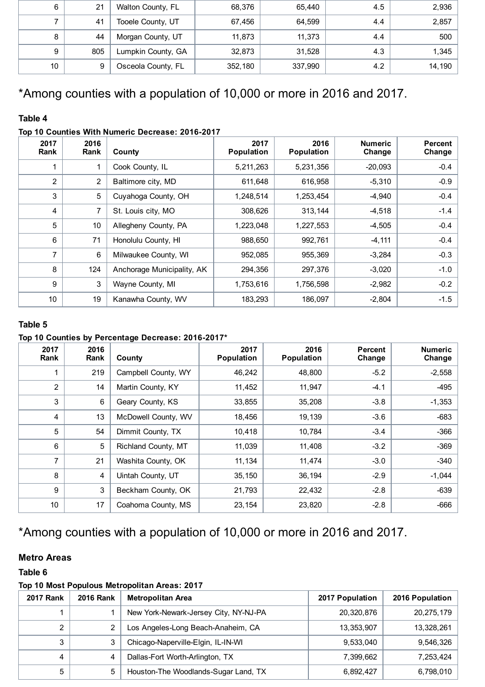| 6  | 21  | Walton County, FL  | 68,376  | 65.440  | 4.5 | 2,936  |
|----|-----|--------------------|---------|---------|-----|--------|
|    | 41  | Tooele County, UT  | 67,456  | 64.599  | 4.4 | 2,857  |
| 8  | 44  | Morgan County, UT  | 11,873  | 11.373  | 4.4 | 500    |
| 9  | 805 | Lumpkin County, GA | 32,873  | 31,528  | 4.3 | 1,345  |
| 10 | 9   | Osceola County, FL | 352,180 | 337,990 | 4.2 | 14,190 |

## \*Among counties with a population of 10,000 or more in 2016 and 2017.

## Table 4

## Top 10 Counties With Numeric Decrease: 2016-2017

| 2017<br>Rank    | 2016<br>Rank   | County                     | 2017<br><b>Population</b> | 2016<br>Population | <b>Numeric</b><br>Change | <b>Percent</b><br>Change |
|-----------------|----------------|----------------------------|---------------------------|--------------------|--------------------------|--------------------------|
| 1               |                | Cook County, IL            | 5,211,263                 | 5,231,356          | $-20,093$                | $-0.4$                   |
| 2               | $\overline{2}$ | Baltimore city, MD         | 611,648                   | 616,958            | $-5,310$                 | $-0.9$                   |
| 3               | 5              | Cuyahoga County, OH        | 1,248,514                 | 1,253,454          | $-4,940$                 | $-0.4$                   |
| 4               | 7              | St. Louis city, MO         | 308,626                   | 313,144            | $-4,518$                 | $-1.4$                   |
| 5               | 10             | Allegheny County, PA       | 1,223,048                 | 1,227,553          | $-4,505$                 | $-0.4$                   |
| 6               | 71             | Honolulu County, HI        | 988,650                   | 992,761            | $-4, 111$                | $-0.4$                   |
| 7               | 6              | Milwaukee County, WI       | 952,085                   | 955,369            | $-3,284$                 | $-0.3$                   |
| 8               | 124            | Anchorage Municipality, AK | 294,356                   | 297,376            | $-3,020$                 | $-1.0$                   |
| 9               | 3              | Wayne County, MI           | 1,753,616                 | 1,756,598          | $-2,982$                 | $-0.2$                   |
| 10 <sup>°</sup> | 19             | Kanawha County, WV         | 183,293                   | 186,097            | $-2,804$                 | $-1.5$                   |

## Table 5

## Top 10 Counties by Percentage Decrease: 2016-2017\*

| 2017<br>Rank | 2016<br>Rank | County                     | 2017<br><b>Population</b> | 2016<br>Population | <b>Percent</b><br>Change | <b>Numeric</b><br>Change |
|--------------|--------------|----------------------------|---------------------------|--------------------|--------------------------|--------------------------|
| 1            | 219          | Campbell County, WY        | 46,242                    | 48,800             | $-5.2$                   | $-2,558$                 |
| 2            | 14           | Martin County, KY          | 11,452                    | 11,947             | $-4.1$                   | $-495$                   |
| 3            | 6            | Geary County, KS           | 33,855                    | 35,208             | $-3.8$                   | $-1,353$                 |
| 4            | 13           | McDowell County, WV        | 18,456                    | 19,139             | $-3.6$                   | $-683$                   |
| 5            | 54           | Dimmit County, TX          | 10,418                    | 10,784             | $-3.4$                   | $-366$                   |
| 6            | 5            | <b>Richland County, MT</b> | 11,039                    | 11,408             | $-3.2$                   | $-369$                   |
| 7            | 21           | Washita County, OK         | 11,134                    | 11,474             | $-3.0$                   | $-340$                   |
| 8            | 4            | Uintah County, UT          | 35,150                    | 36,194             | $-2.9$                   | $-1,044$                 |
| 9            | 3            | Beckham County, OK         | 21,793                    | 22,432             | $-2.8$                   | $-639$                   |
| 10           | 17           | Coahoma County, MS         | 23,154                    | 23,820             | $-2.8$                   | $-666$                   |

## \*Among counties with a population of 10,000 or more in 2016 and 2017.

## Metro Areas

### Table 6

## Top 10 Most Populous Metropolitan Areas: 2017

| <b>2017 Rank</b> | <b>2016 Rank</b> | <b>Metropolitan Area</b>              | 2017 Population | 2016 Population |
|------------------|------------------|---------------------------------------|-----------------|-----------------|
|                  |                  | New York-Newark-Jersey City, NY-NJ-PA | 20,320,876      | 20,275,179      |
|                  | 2                | Los Angeles-Long Beach-Anaheim, CA    | 13,353,907      | 13,328,261      |
| 3                | 3                | Chicago-Naperville-Elgin, IL-IN-WI    | 9,533,040       | 9,546,326       |
| 4                | 4                | Dallas-Fort Worth-Arlington, TX       | 7,399,662       | 7,253,424       |
| 5                | 5                | Houston-The Woodlands-Sugar Land, TX  | 6,892,427       | 6,798,010       |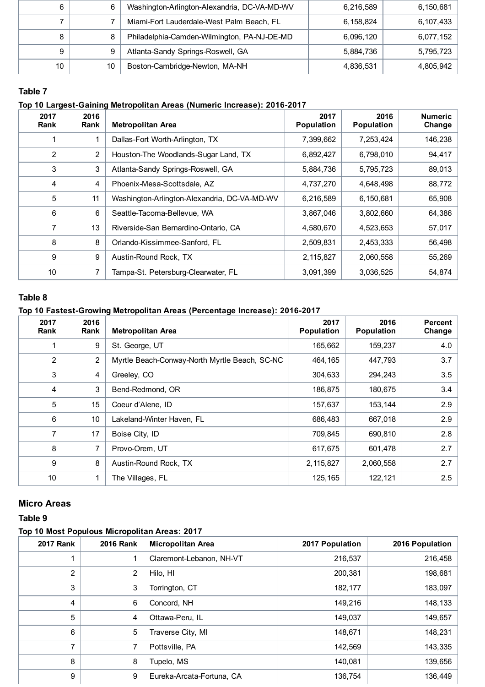| ี  | 6  | Washington-Arlington-Alexandria, DC-VA-MD-WV | 6,216,589 | 6,150,681 |
|----|----|----------------------------------------------|-----------|-----------|
|    |    | Miami-Fort Lauderdale-West Palm Beach, FL    | 6,158,824 | 6,107,433 |
|    | 8  | Philadelphia-Camden-Wilmington, PA-NJ-DE-MD  | 6,096,120 | 6,077,152 |
| 9  | 9  | Atlanta-Sandy Springs-Roswell, GA            | 5,884,736 | 5,795,723 |
| 10 | 10 | Boston-Cambridge-Newton, MA-NH               | 4,836,531 | 4,805,942 |

## Table 7

## Top 10 Largest-Gaining Metropolitan Areas (Numeric Increase): 2016-2017

| 2017<br><b>Rank</b> | 2016<br><b>Rank</b> | <b>Metropolitan Area</b>                     | 2017<br>Population | 2016<br>Population | <b>Numeric</b><br>Change |
|---------------------|---------------------|----------------------------------------------|--------------------|--------------------|--------------------------|
|                     |                     | Dallas-Fort Worth-Arlington, TX              | 7,399,662          | 7,253,424          | 146,238                  |
| 2                   | 2                   | Houston-The Woodlands-Sugar Land, TX         | 6,892,427          | 6,798,010          | 94,417                   |
| 3                   | 3                   | Atlanta-Sandy Springs-Roswell, GA            | 5,884,736          | 5,795,723          | 89,013                   |
| 4                   | 4                   | Phoenix-Mesa-Scottsdale, AZ                  | 4,737,270          | 4,648,498          | 88,772                   |
| 5                   | 11                  | Washington-Arlington-Alexandria, DC-VA-MD-WV | 6,216,589          | 6,150,681          | 65,908                   |
| 6                   | 6                   | Seattle-Tacoma-Bellevue, WA                  | 3,867,046          | 3,802,660          | 64,386                   |
| 7                   | 13                  | Riverside-San Bernardino-Ontario, CA         | 4,580,670          | 4,523,653          | 57,017                   |
| 8                   | 8                   | Orlando-Kissimmee-Sanford, FL                | 2,509,831          | 2,453,333          | 56,498                   |
| 9                   | 9                   | Austin-Round Rock, TX                        | 2,115,827          | 2,060,558          | 55,269                   |
| 10                  |                     | Tampa-St. Petersburg-Clearwater, FL          | 3,091,399          | 3,036,525          | 54,874                   |

## Table 8

### Top 10 Fastest-Growing Metropolitan Areas (Percentage Increase): 2016-2017

| 2017<br><b>Rank</b> | 2016<br><b>Rank</b> | <b>Metropolitan Area</b>                      | 2017<br><b>Population</b> | 2016<br><b>Population</b> | <b>Percent</b><br>Change |
|---------------------|---------------------|-----------------------------------------------|---------------------------|---------------------------|--------------------------|
| 1                   | 9                   | St. George, UT                                | 165,662                   | 159,237                   | 4.0                      |
| $\overline{2}$      | 2                   | Myrtle Beach-Conway-North Myrtle Beach, SC-NC | 464,165                   | 447,793                   | 3.7                      |
| 3                   | 4                   | Greeley, CO                                   | 304,633                   | 294,243                   | 3.5                      |
| 4                   | 3                   | Bend-Redmond, OR                              | 186,875                   | 180,675                   | 3.4                      |
| 5                   | 15                  | Coeur d'Alene, ID                             | 157,637                   | 153,144                   | 2.9                      |
| 6                   | 10                  | Lakeland-Winter Haven, FL                     | 686,483                   | 667,018                   | 2.9                      |
| $\overline{7}$      | 17                  | Boise City, ID                                | 709,845                   | 690,810                   | 2.8                      |
| 8                   | 7                   | Provo-Orem, UT                                | 617,675                   | 601,478                   | 2.7                      |
| 9                   | 8                   | Austin-Round Rock, TX                         | 2,115,827                 | 2,060,558                 | 2.7                      |
| 10                  |                     | The Villages, FL                              | 125, 165                  | 122,121                   | 2.5                      |

## Micro Areas

#### Table 9

### Top 10 Most Populous Micropolitan Areas: 2017

| <b>2017 Rank</b> | <b>2016 Rank</b> | <b>Micropolitan Area</b>  | 2017 Population | 2016 Population |
|------------------|------------------|---------------------------|-----------------|-----------------|
|                  |                  | Claremont-Lebanon, NH-VT  | 216,537         | 216,458         |
| $\overline{2}$   | 2                | Hilo, HI                  | 200,381         | 198,681         |
| 3                | 3                | Torrington, CT            | 182,177         | 183,097         |
| $\overline{4}$   | 6                | Concord, NH               | 149,216         | 148,133         |
| 5                | 4                | Ottawa-Peru, IL           | 149,037         | 149,657         |
| 6                | 5                | Traverse City, MI         | 148,671         | 148,231         |
| 7                |                  | Pottsville, PA            | 142,569         | 143,335         |
| 8                | 8                | Tupelo, MS                | 140,081         | 139,656         |
| 9                | 9                | Eureka-Arcata-Fortuna, CA | 136,754         | 136,449         |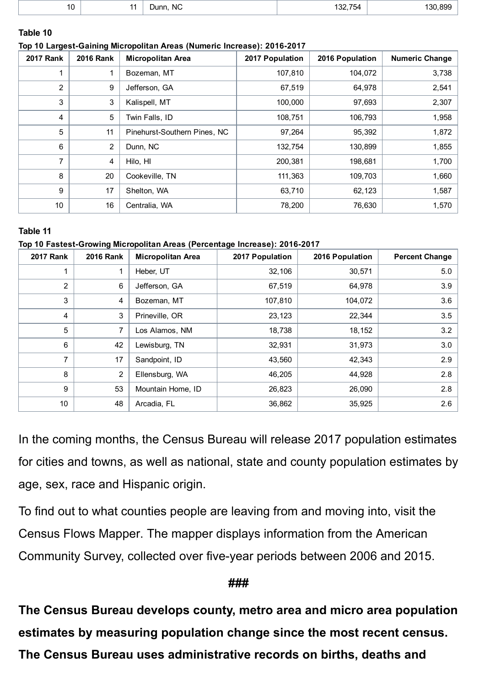| . .<br>$\cdot$ $\circ$<br>$\sim$ | <b>NC</b><br>Dunn.<br>$\sim$ | 122.75<br>754<br>∕د.<br>___ | .899<br>130 |
|----------------------------------|------------------------------|-----------------------------|-------------|
|                                  |                              |                             |             |

## Table 10

#### Top 10 Largest-Gaining Micropolitan Areas (Numeric Increase): 2016-2017

| <b>2017 Rank</b> | <b>2016 Rank</b> | <b>Micropolitan Area</b>     | 2017 Population | 2016 Population | <b>Numeric Change</b> |
|------------------|------------------|------------------------------|-----------------|-----------------|-----------------------|
|                  |                  | Bozeman, MT                  | 107,810         | 104,072         | 3,738                 |
| $\overline{2}$   | 9                | Jefferson, GA                | 67,519          | 64,978          | 2,541                 |
| 3                | 3                | Kalispell, MT                | 100,000         | 97,693          | 2,307                 |
| 4                | 5                | Twin Falls, ID               | 108,751         | 106,793         | 1,958                 |
| 5                | 11               | Pinehurst-Southern Pines, NC | 97,264          | 95,392          | 1,872                 |
| 6                | $\overline{2}$   | Dunn, NC                     | 132,754         | 130,899         | 1,855                 |
| 7                | 4                | Hilo. HI                     | 200,381         | 198,681         | 1,700                 |
| 8                | 20               | Cookeville, TN               | 111,363         | 109,703         | 1,660                 |
| 9                | 17               | Shelton, WA                  | 63,710          | 62,123          | 1,587                 |
| 10               | 16               | Centralia, WA                | 78,200          | 76,630          | 1,570                 |

#### Table 11

#### Top 10 Fastest-Growing Micropolitan Areas (Percentage Increase): 2016-2017

| <b>2017 Rank</b> | <b>2016 Rank</b> | <b>Micropolitan Area</b> | 2017 Population | 2016 Population | <b>Percent Change</b> |
|------------------|------------------|--------------------------|-----------------|-----------------|-----------------------|
|                  |                  | Heber, UT                | 32,106          | 30,571          | 5.0                   |
| 2                | 6                | Jefferson, GA            | 67,519          | 64,978          | 3.9                   |
| 3                | 4                | Bozeman, MT              | 107,810         | 104,072         | 3.6                   |
| 4                | 3                | Prineville, OR           | 23,123          | 22,344          | 3.5                   |
| 5                | 7                | Los Alamos, NM           | 18,738          | 18,152          | 3.2                   |
| 6                | 42               | Lewisburg, TN            | 32,931          | 31,973          | 3.0                   |
| $\overline{7}$   | 17               | Sandpoint, ID            | 43,560          | 42,343          | 2.9                   |
| 8                | $\overline{2}$   | Ellensburg, WA           | 46,205          | 44,928          | 2.8                   |
| 9                | 53               | Mountain Home, ID        | 26,823          | 26,090          | 2.8                   |
| 10               | 48               | Arcadia, FL              | 36,862          | 35,925          | 2.6                   |

In the coming [months](https://www.census.gov/programs-surveys/popest/about/schedule.html), the Census Bureau will release 2017 population estimates for cities and towns, as well as national, state and county population estimates by age, sex, race and Hispanic origin.

To find out to what counties people are leaving from and moving into, visit the Census Flows [Mapper.](https://flowsmapper.geo.census.gov/) The mapper displays information from the American Community Survey, collected over five-year periods between 2006 and 2015.

## ###

The Census Bureau develops county, metro area and micro area population estimates by measuring population change since the most recent census. The Census Bureau uses administrative records on births, deaths and